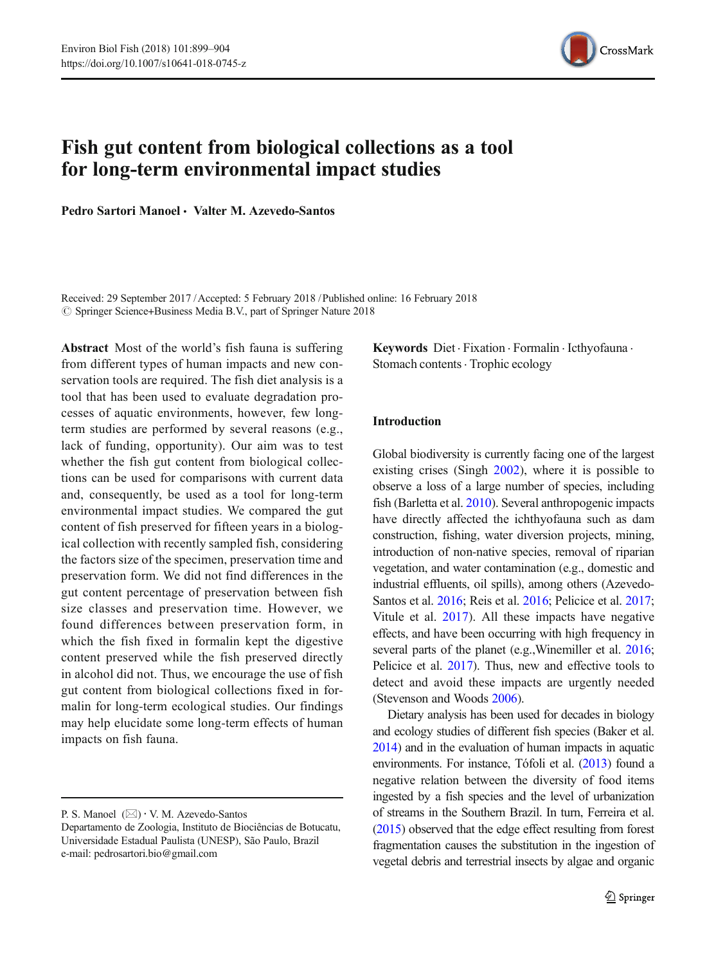

# Fish gut content from biological collections as a tool for long-term environmental impact studies

Pedro Sartori Manoel & Valter M. Azevedo-Santos

Received: 29 September 2017 /Accepted: 5 February 2018 /Published online: 16 February 2018 © Springer Science+Business Media B.V., part of Springer Nature 2018

Abstract Most of the world's fish fauna is suffering from different types of human impacts and new conservation tools are required. The fish diet analysis is a tool that has been used to evaluate degradation processes of aquatic environments, however, few longterm studies are performed by several reasons (e.g., lack of funding, opportunity). Our aim was to test whether the fish gut content from biological collections can be used for comparisons with current data and, consequently, be used as a tool for long-term environmental impact studies. We compared the gut content of fish preserved for fifteen years in a biological collection with recently sampled fish, considering the factors size of the specimen, preservation time and preservation form. We did not find differences in the gut content percentage of preservation between fish size classes and preservation time. However, we found differences between preservation form, in which the fish fixed in formalin kept the digestive content preserved while the fish preserved directly in alcohol did not. Thus, we encourage the use of fish gut content from biological collections fixed in formalin for long-term ecological studies. Our findings may help elucidate some long-term effects of human impacts on fish fauna.

P. S. Manoel  $(\boxtimes) \cdot V$ . M. Azevedo-Santos

Keywords Diet . Fixation . Formalin . Icthyofauna . Stomach contents · Trophic ecology

## Introduction

Global biodiversity is currently facing one of the largest existing crises (Singh [2002](#page-5-0)), where it is possible to observe a loss of a large number of species, including fish (Barletta et al. [2010\)](#page-4-0). Several anthropogenic impacts have directly affected the ichthyofauna such as dam construction, fishing, water diversion projects, mining, introduction of non-native species, removal of riparian vegetation, and water contamination (e.g., domestic and industrial effluents, oil spills), among others (Azevedo-Santos et al. [2016;](#page-4-0) Reis et al. [2016](#page-5-0); Pelicice et al. [2017;](#page-5-0) Vitule et al. [2017](#page-5-0)). All these impacts have negative effects, and have been occurring with high frequency in several parts of the planet (e.g.,Winemiller et al. [2016;](#page-5-0) Pelicice et al. [2017](#page-5-0)). Thus, new and effective tools to detect and avoid these impacts are urgently needed (Stevenson and Woods [2006](#page-5-0)).

Dietary analysis has been used for decades in biology and ecology studies of different fish species (Baker et al. [2014\)](#page-4-0) and in the evaluation of human impacts in aquatic environments. For instance, Tófoli et al. [\(2013](#page-5-0)) found a negative relation between the diversity of food items ingested by a fish species and the level of urbanization of streams in the Southern Brazil. In turn, Ferreira et al. [\(2015\)](#page-5-0) observed that the edge effect resulting from forest fragmentation causes the substitution in the ingestion of vegetal debris and terrestrial insects by algae and organic

Departamento de Zoologia, Instituto de Biociências de Botucatu, Universidade Estadual Paulista (UNESP), São Paulo, Brazil e-mail: pedrosartori.bio@gmail.com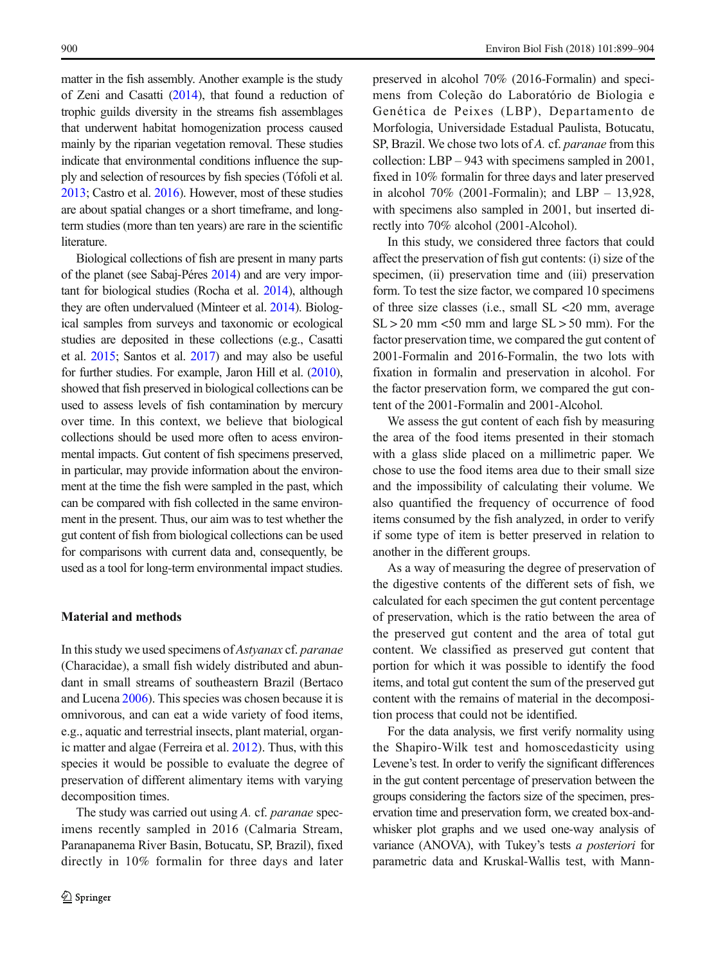matter in the fish assembly. Another example is the study of Zeni and Casatti [\(2014](#page-5-0)), that found a reduction of trophic guilds diversity in the streams fish assemblages that underwent habitat homogenization process caused mainly by the riparian vegetation removal. These studies indicate that environmental conditions influence the supply and selection of resources by fish species (Tófoli et al. [2013;](#page-5-0) Castro et al. [2016\)](#page-4-0). However, most of these studies are about spatial changes or a short timeframe, and longterm studies (more than ten years) are rare in the scientific literature.

Biological collections of fish are present in many parts of the planet (see Sabaj-Péres [2014\)](#page-5-0) and are very important for biological studies (Rocha et al. [2014](#page-5-0)), although they are often undervalued (Minteer et al. [2014](#page-5-0)). Biological samples from surveys and taxonomic or ecological studies are deposited in these collections (e.g., Casatti et al. [2015](#page-4-0); Santos et al. [2017\)](#page-5-0) and may also be useful for further studies. For example, Jaron Hill et al. [\(2010\)](#page-5-0), showed that fish preserved in biological collections can be used to assess levels of fish contamination by mercury over time. In this context, we believe that biological collections should be used more often to acess environmental impacts. Gut content of fish specimens preserved, in particular, may provide information about the environment at the time the fish were sampled in the past, which can be compared with fish collected in the same environment in the present. Thus, our aim was to test whether the gut content of fish from biological collections can be used for comparisons with current data and, consequently, be used as a tool for long-term environmental impact studies.

#### Material and methods

In this study we used specimens of Astyanax cf. paranae (Characidae), a small fish widely distributed and abundant in small streams of southeastern Brazil (Bertaco and Lucena [2006](#page-4-0)). This species was chosen because it is omnivorous, and can eat a wide variety of food items, e.g., aquatic and terrestrial insects, plant material, organic matter and algae (Ferreira et al. [2012](#page-5-0)). Thus, with this species it would be possible to evaluate the degree of preservation of different alimentary items with varying decomposition times.

The study was carried out using A. cf. *paranae* specimens recently sampled in 2016 (Calmaria Stream, Paranapanema River Basin, Botucatu, SP, Brazil), fixed directly in 10% formalin for three days and later preserved in alcohol 70% (2016-Formalin) and specimens from Coleção do Laboratório de Biologia e Genética de Peixes (LBP), Departamento de Morfologia, Universidade Estadual Paulista, Botucatu, SP, Brazil. We chose two lots of A. cf. *paranae* from this collection: LBP – 943 with specimens sampled in 2001, fixed in 10% formalin for three days and later preserved in alcohol 70% (2001-Formalin); and LBP – 13,928, with specimens also sampled in 2001, but inserted directly into 70% alcohol (2001-Alcohol).

In this study, we considered three factors that could affect the preservation of fish gut contents: (i) size of the specimen, (ii) preservation time and (iii) preservation form. To test the size factor, we compared 10 specimens of three size classes (i.e., small SL <20 mm, average  $SL > 20$  mm  $\lt 50$  mm and large  $SL > 50$  mm). For the factor preservation time, we compared the gut content of 2001-Formalin and 2016-Formalin, the two lots with fixation in formalin and preservation in alcohol. For the factor preservation form, we compared the gut content of the 2001-Formalin and 2001-Alcohol.

We assess the gut content of each fish by measuring the area of the food items presented in their stomach with a glass slide placed on a millimetric paper. We chose to use the food items area due to their small size and the impossibility of calculating their volume. We also quantified the frequency of occurrence of food items consumed by the fish analyzed, in order to verify if some type of item is better preserved in relation to another in the different groups.

As a way of measuring the degree of preservation of the digestive contents of the different sets of fish, we calculated for each specimen the gut content percentage of preservation, which is the ratio between the area of the preserved gut content and the area of total gut content. We classified as preserved gut content that portion for which it was possible to identify the food items, and total gut content the sum of the preserved gut content with the remains of material in the decomposition process that could not be identified.

For the data analysis, we first verify normality using the Shapiro-Wilk test and homoscedasticity using Levene's test. In order to verify the significant differences in the gut content percentage of preservation between the groups considering the factors size of the specimen, preservation time and preservation form, we created box-andwhisker plot graphs and we used one-way analysis of variance (ANOVA), with Tukey's tests a posteriori for parametric data and Kruskal-Wallis test, with Mann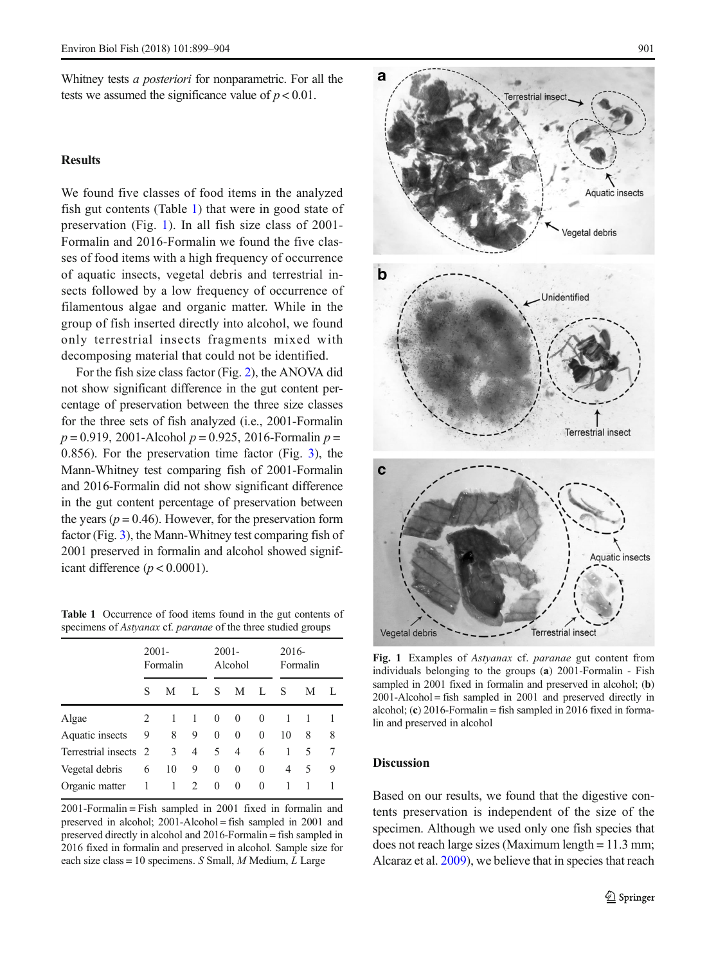Whitney tests *a posteriori* for nonparametric. For all the tests we assumed the significance value of  $p < 0.01$ .

## **Results**

We found five classes of food items in the analyzed fish gut contents (Table 1) that were in good state of preservation (Fig. 1). In all fish size class of 2001- Formalin and 2016-Formalin we found the five classes of food items with a high frequency of occurrence of aquatic insects, vegetal debris and terrestrial insects followed by a low frequency of occurrence of filamentous algae and organic matter. While in the group of fish inserted directly into alcohol, we found only terrestrial insects fragments mixed with decomposing material that could not be identified.

For the fish size class factor (Fig. [2\)](#page-3-0), the ANOVA did not show significant difference in the gut content percentage of preservation between the three size classes for the three sets of fish analyzed (i.e., 2001-Formalin  $p = 0.919, 2001$ -Alcohol  $p = 0.925, 2016$ -Formalin  $p =$ 0.856). For the preservation time factor (Fig. [3](#page-3-0)), the Mann-Whitney test comparing fish of 2001-Formalin and 2016-Formalin did not show significant difference in the gut content percentage of preservation between the years ( $p = 0.46$ ). However, for the preservation form factor (Fig. [3](#page-3-0)), the Mann-Whitney test comparing fish of 2001 preserved in formalin and alcohol showed significant difference ( $p < 0.0001$ ).

Table 1 Occurrence of food items found in the gut contents of specimens of Astyanax cf. paranae of the three studied groups

|                       | $2001 -$<br>Formalin |              |                | $2001 -$<br>Alcohol |              |              | $2016-$<br>Formalin |   |   |
|-----------------------|----------------------|--------------|----------------|---------------------|--------------|--------------|---------------------|---|---|
|                       | S                    | M            | L              | S                   | M            | $\mathbf{L}$ | -S                  | M | L |
| Algae                 | 2                    | $\mathbf{1}$ | 1              | $\Omega$            | $\mathbf{0}$ | $\Omega$     |                     |   | 1 |
| Aquatic insects       | 9                    | 8            | 9              | $\Omega$            | $\Omega$     | $\Omega$     | 10                  | 8 | 8 |
| Terrestrial insects 2 |                      | 3            | $\overline{4}$ | 5                   | 4            | 6            | 1                   | 5 | 7 |
| Vegetal debris        | 6                    | 10           | 9              | $\mathbf{0}$        | $\Omega$     | $\theta$     | 4                   | 5 | 9 |
| Organic matter        | 1                    | 1            | 2              | $\Omega$            | $\Omega$     | $\theta$     | 1                   |   | 1 |
|                       |                      |              |                |                     |              |              |                     |   |   |

2001-Formalin = Fish sampled in 2001 fixed in formalin and preserved in alcohol; 2001-Alcohol = fish sampled in 2001 and preserved directly in alcohol and 2016-Formalin = fish sampled in 2016 fixed in formalin and preserved in alcohol. Sample size for each size class = 10 specimens.  $S$  Small,  $M$  Medium,  $L$  Large



Fig. 1 Examples of Astyanax cf. paranae gut content from individuals belonging to the groups (a) 2001-Formalin - Fish sampled in 2001 fixed in formalin and preserved in alcohol; (**b**) 2001-Alcohol = fish sampled in 2001 and preserved directly in alcohol;  $(c)$  2016-Formalin = fish sampled in 2016 fixed in formalin and preserved in alcohol

## **Discussion**

Based on our results, we found that the digestive contents preservation is independent of the size of the specimen. Although we used only one fish species that does not reach large sizes (Maximum length = 11.3 mm; Alcaraz et al. [2009\)](#page-4-0), we believe that in species that reach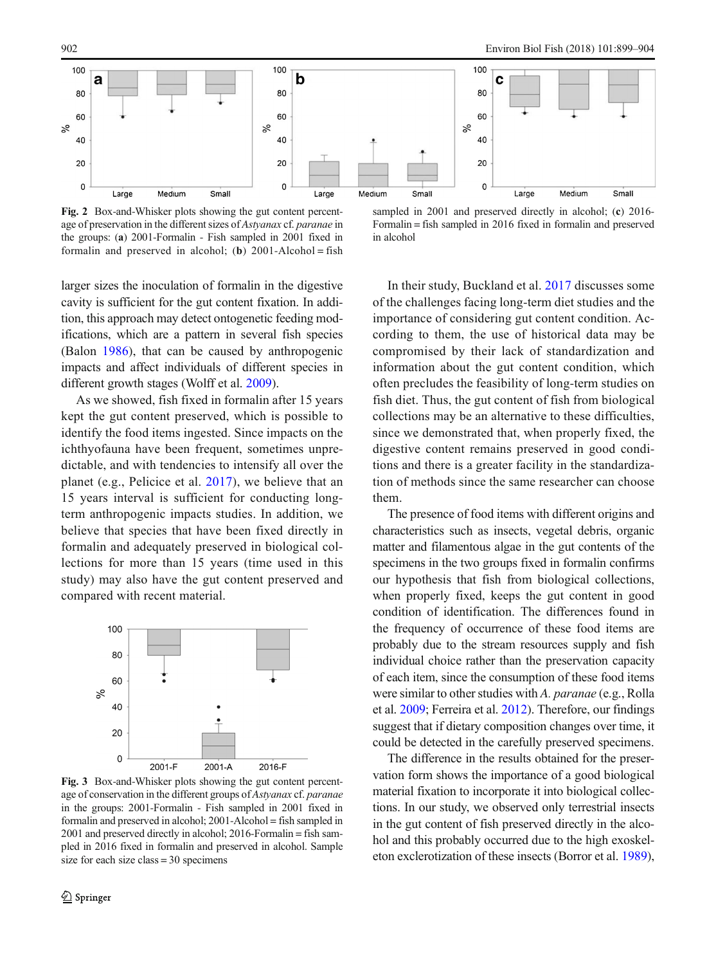<span id="page-3-0"></span>

Fig. 2 Box-and-Whisker plots showing the gut content percentage of preservation in the different sizes of Astyanax cf. paranae in the groups: (a) 2001-Formalin - Fish sampled in 2001 fixed in formalin and preserved in alcohol; (b)  $2001-A$ lcohol = fish

larger sizes the inoculation of formalin in the digestive cavity is sufficient for the gut content fixation. In addition, this approach may detect ontogenetic feeding modifications, which are a pattern in several fish species (Balon [1986](#page-4-0)), that can be caused by anthropogenic impacts and affect individuals of different species in different growth stages (Wolff et al. [2009\)](#page-5-0).

As we showed, fish fixed in formalin after 15 years kept the gut content preserved, which is possible to identify the food items ingested. Since impacts on the ichthyofauna have been frequent, sometimes unpredictable, and with tendencies to intensify all over the planet (e.g., Pelicice et al. [2017\)](#page-5-0), we believe that an 15 years interval is sufficient for conducting longterm anthropogenic impacts studies. In addition, we believe that species that have been fixed directly in formalin and adequately preserved in biological collections for more than 15 years (time used in this study) may also have the gut content preserved and compared with recent material.



Fig. 3 Box-and-Whisker plots showing the gut content percentage of conservation in the different groups of Astyanax cf. paranae in the groups: 2001-Formalin - Fish sampled in 2001 fixed in formalin and preserved in alcohol; 2001-Alcohol = fish sampled in 2001 and preserved directly in alcohol; 2016-Formalin = fish sampled in 2016 fixed in formalin and preserved in alcohol. Sample size for each size class = 30 specimens

sampled in 2001 and preserved directly in alcohol; (c) 2016-Formalin = fish sampled in 2016 fixed in formalin and preserved in alcohol

In their study, Buckland et al. [2017](#page-4-0) discusses some of the challenges facing long-term diet studies and the importance of considering gut content condition. According to them, the use of historical data may be compromised by their lack of standardization and information about the gut content condition, which often precludes the feasibility of long-term studies on fish diet. Thus, the gut content of fish from biological collections may be an alternative to these difficulties, since we demonstrated that, when properly fixed, the digestive content remains preserved in good conditions and there is a greater facility in the standardization of methods since the same researcher can choose them.

The presence of food items with different origins and characteristics such as insects, vegetal debris, organic matter and filamentous algae in the gut contents of the specimens in the two groups fixed in formalin confirms our hypothesis that fish from biological collections, when properly fixed, keeps the gut content in good condition of identification. The differences found in the frequency of occurrence of these food items are probably due to the stream resources supply and fish individual choice rather than the preservation capacity of each item, since the consumption of these food items were similar to other studies with A. paranae (e.g., Rolla et al. [2009](#page-5-0); Ferreira et al. [2012\)](#page-5-0). Therefore, our findings suggest that if dietary composition changes over time, it could be detected in the carefully preserved specimens.

The difference in the results obtained for the preservation form shows the importance of a good biological material fixation to incorporate it into biological collections. In our study, we observed only terrestrial insects in the gut content of fish preserved directly in the alcohol and this probably occurred due to the high exoskeleton exclerotization of these insects (Borror et al. [1989\)](#page-4-0),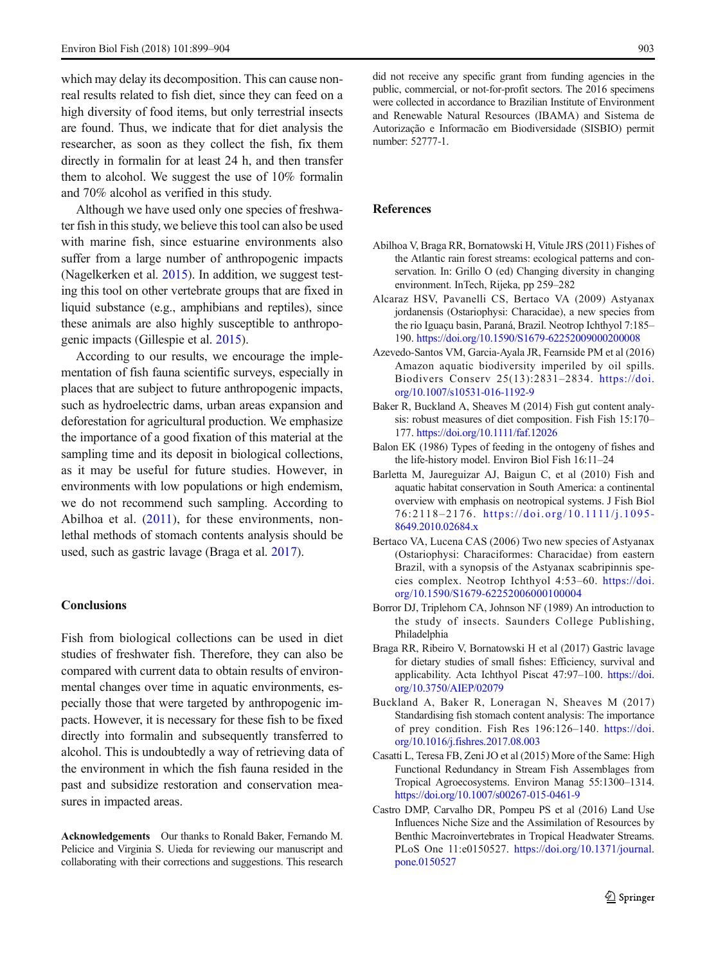<span id="page-4-0"></span>which may delay its decomposition. This can cause nonreal results related to fish diet, since they can feed on a high diversity of food items, but only terrestrial insects are found. Thus, we indicate that for diet analysis the researcher, as soon as they collect the fish, fix them directly in formalin for at least 24 h, and then transfer them to alcohol. We suggest the use of 10% formalin and 70% alcohol as verified in this study.

Although we have used only one species of freshwater fish in this study, we believe this tool can also be used with marine fish, since estuarine environments also suffer from a large number of anthropogenic impacts (Nagelkerken et al. [2015\)](#page-5-0). In addition, we suggest testing this tool on other vertebrate groups that are fixed in liquid substance (e.g., amphibians and reptiles), since these animals are also highly susceptible to anthropogenic impacts (Gillespie et al. [2015\)](#page-5-0).

According to our results, we encourage the implementation of fish fauna scientific surveys, especially in places that are subject to future anthropogenic impacts, such as hydroelectric dams, urban areas expansion and deforestation for agricultural production. We emphasize the importance of a good fixation of this material at the sampling time and its deposit in biological collections, as it may be useful for future studies. However, in environments with low populations or high endemism, we do not recommend such sampling. According to Abilhoa et al. (2011), for these environments, nonlethal methods of stomach contents analysis should be used, such as gastric lavage (Braga et al. 2017).

#### **Conclusions**

Fish from biological collections can be used in diet studies of freshwater fish. Therefore, they can also be compared with current data to obtain results of environmental changes over time in aquatic environments, especially those that were targeted by anthropogenic impacts. However, it is necessary for these fish to be fixed directly into formalin and subsequently transferred to alcohol. This is undoubtedly a way of retrieving data of the environment in which the fish fauna resided in the past and subsidize restoration and conservation measures in impacted areas.

Acknowledgements Our thanks to Ronald Baker, Fernando M. Pelicice and Virginia S. Uieda for reviewing our manuscript and collaborating with their corrections and suggestions. This research did not receive any specific grant from funding agencies in the public, commercial, or not-for-profit sectors. The 2016 specimens were collected in accordance to Brazilian Institute of Environment and Renewable Natural Resources (IBAMA) and Sistema de Autorização e Informacão em Biodiversidade (SISBIO) permit number: 52777-1.

#### **References**

- Abilhoa V, Braga RR, Bornatowski H, Vitule JRS (2011) Fishes of the Atlantic rain forest streams: ecological patterns and conservation. In: Grillo O (ed) Changing diversity in changing environment. InTech, Rijeka, pp 259–282
- Alcaraz HSV, Pavanelli CS, Bertaco VA (2009) Astyanax jordanensis (Ostariophysi: Characidae), a new species from the rio Iguaçu basin, Paraná, Brazil. Neotrop Ichthyol 7:185– 190. <https://doi.org/10.1590/S1679-62252009000200008>
- Azevedo-Santos VM, Garcia-Ayala JR, Fearnside PM et al (2016) Amazon aquatic biodiversity imperiled by oil spills. Biodivers Conserv 25(13):2831–2834. [https://doi.](https://doi.org/10.1007/s10531-016-1192-9) [org/10.1007/s10531-016-1192-9](https://doi.org/10.1007/s10531-016-1192-9)
- Baker R, Buckland A, Sheaves M (2014) Fish gut content analysis: robust measures of diet composition. Fish Fish 15:170– 177. <https://doi.org/10.1111/faf.12026>
- Balon EK (1986) Types of feeding in the ontogeny of fishes and the life-history model. Environ Biol Fish 16:11–24
- Barletta M, Jaureguizar AJ, Baigun C, et al (2010) Fish and aquatic habitat conservation in South America: a continental overview with emphasis on neotropical systems. J Fish Biol 76:2118–2176. [https://doi.org/10.1111/j.1095-](https://doi.org/10.1111/j.1095-8649.2010.02684.x) [8649.2010.02684.x](https://doi.org/10.1111/j.1095-8649.2010.02684.x)
- Bertaco VA, Lucena CAS (2006) Two new species of Astyanax (Ostariophysi: Characiformes: Characidae) from eastern Brazil, with a synopsis of the Astyanax scabripinnis species complex. Neotrop Ichthyol 4:53–60. [https://doi.](https://doi.org/10.1590/S1679-62252006000100004) [org/10.1590/S1679-62252006000100004](https://doi.org/10.1590/S1679-62252006000100004)
- Borror DJ, Triplehorn CA, Johnson NF (1989) An introduction to the study of insects. Saunders College Publishing, Philadelphia
- Braga RR, Ribeiro V, Bornatowski H et al (2017) Gastric lavage for dietary studies of small fishes: Efficiency, survival and applicability. Acta Ichthyol Piscat 47:97–100. [https://doi.](https://doi.org/10.3750/AIEP/02079) [org/10.3750/AIEP/02079](https://doi.org/10.3750/AIEP/02079)
- Buckland A, Baker R, Loneragan N, Sheaves M (2017) Standardising fish stomach content analysis: The importance of prey condition. Fish Res 196:126–140. [https://doi.](https://doi.org/10.1016/j.fishres.2017.08.003) [org/10.1016/j.fishres.2017.08.003](https://doi.org/10.1016/j.fishres.2017.08.003)
- Casatti L, Teresa FB, Zeni JO et al (2015) More of the Same: High Functional Redundancy in Stream Fish Assemblages from Tropical Agroecosystems. Environ Manag 55:1300–1314. <https://doi.org/10.1007/s00267-015-0461-9>
- Castro DMP, Carvalho DR, Pompeu PS et al (2016) Land Use Influences Niche Size and the Assimilation of Resources by Benthic Macroinvertebrates in Tropical Headwater Streams. PLoS One 11:e0150527. [https://doi.org/10.1371/journal.](https://doi.org/10.1371/journal.pone.0150527) [pone.0150527](https://doi.org/10.1371/journal.pone.0150527)